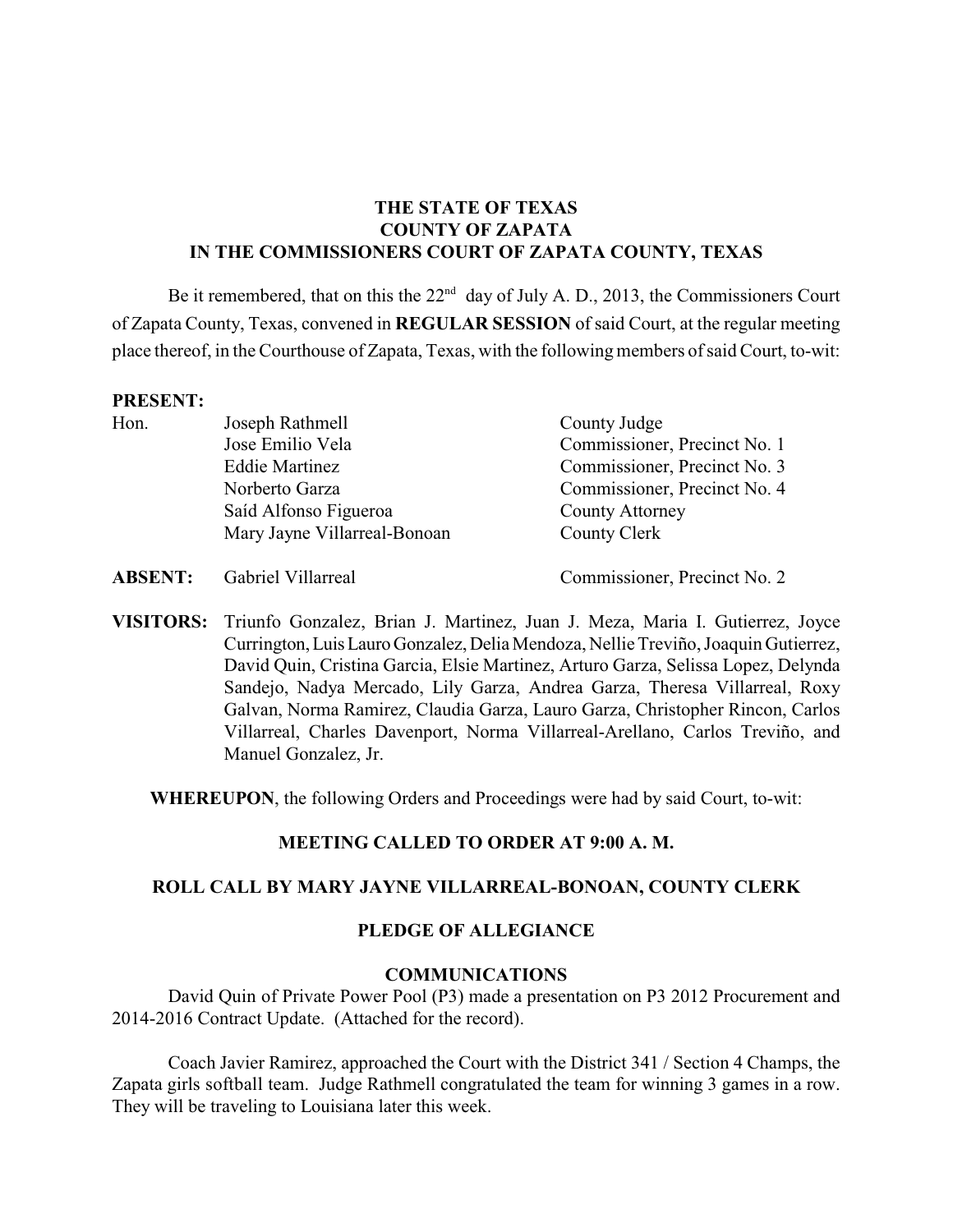# **THE STATE OF TEXAS COUNTY OF ZAPATA IN THE COMMISSIONERS COURT OF ZAPATA COUNTY, TEXAS**

Be it remembered, that on this the  $22<sup>nd</sup>$  day of July A. D., 2013, the Commissioners Court of Zapata County, Texas, convened in **REGULAR SESSION** of said Court, at the regular meeting place thereof, in the Courthouse of Zapata, Texas, with the following members of said Court, to-wit:

#### **PRESENT:**

| Hon. | Joseph Rathmell              | County Judge                 |
|------|------------------------------|------------------------------|
|      | Jose Emilio Vela             | Commissioner, Precinct No. 1 |
|      | <b>Eddie Martinez</b>        | Commissioner, Precinct No. 3 |
|      | Norberto Garza               | Commissioner, Precinct No. 4 |
|      | Saíd Alfonso Figueroa        | <b>County Attorney</b>       |
|      | Mary Jayne Villarreal-Bonoan | County Clerk                 |

**ABSENT:** Gabriel Villarreal Commissioner, Precinct No. 2

**VISITORS:** Triunfo Gonzalez, Brian J. Martinez, Juan J. Meza, Maria I. Gutierrez, Joyce Currington, Luis Lauro Gonzalez, Delia Mendoza, Nellie Treviño, Joaquin Gutierrez, David Quin, Cristina Garcia, Elsie Martinez, Arturo Garza, Selissa Lopez, Delynda Sandejo, Nadya Mercado, Lily Garza, Andrea Garza, Theresa Villarreal, Roxy Galvan, Norma Ramirez, Claudia Garza, Lauro Garza, Christopher Rincon, Carlos Villarreal, Charles Davenport, Norma Villarreal-Arellano, Carlos Treviño, and Manuel Gonzalez, Jr.

**WHEREUPON**, the following Orders and Proceedings were had by said Court, to-wit:

# **MEETING CALLED TO ORDER AT 9:00 A. M.**

### **ROLL CALL BY MARY JAYNE VILLARREAL-BONOAN, COUNTY CLERK**

### **PLEDGE OF ALLEGIANCE**

### **COMMUNICATIONS**

David Quin of Private Power Pool (P3) made a presentation on P3 2012 Procurement and 2014-2016 Contract Update. (Attached for the record).

Coach Javier Ramirez, approached the Court with the District 341 / Section 4 Champs, the Zapata girls softball team. Judge Rathmell congratulated the team for winning 3 games in a row. They will be traveling to Louisiana later this week.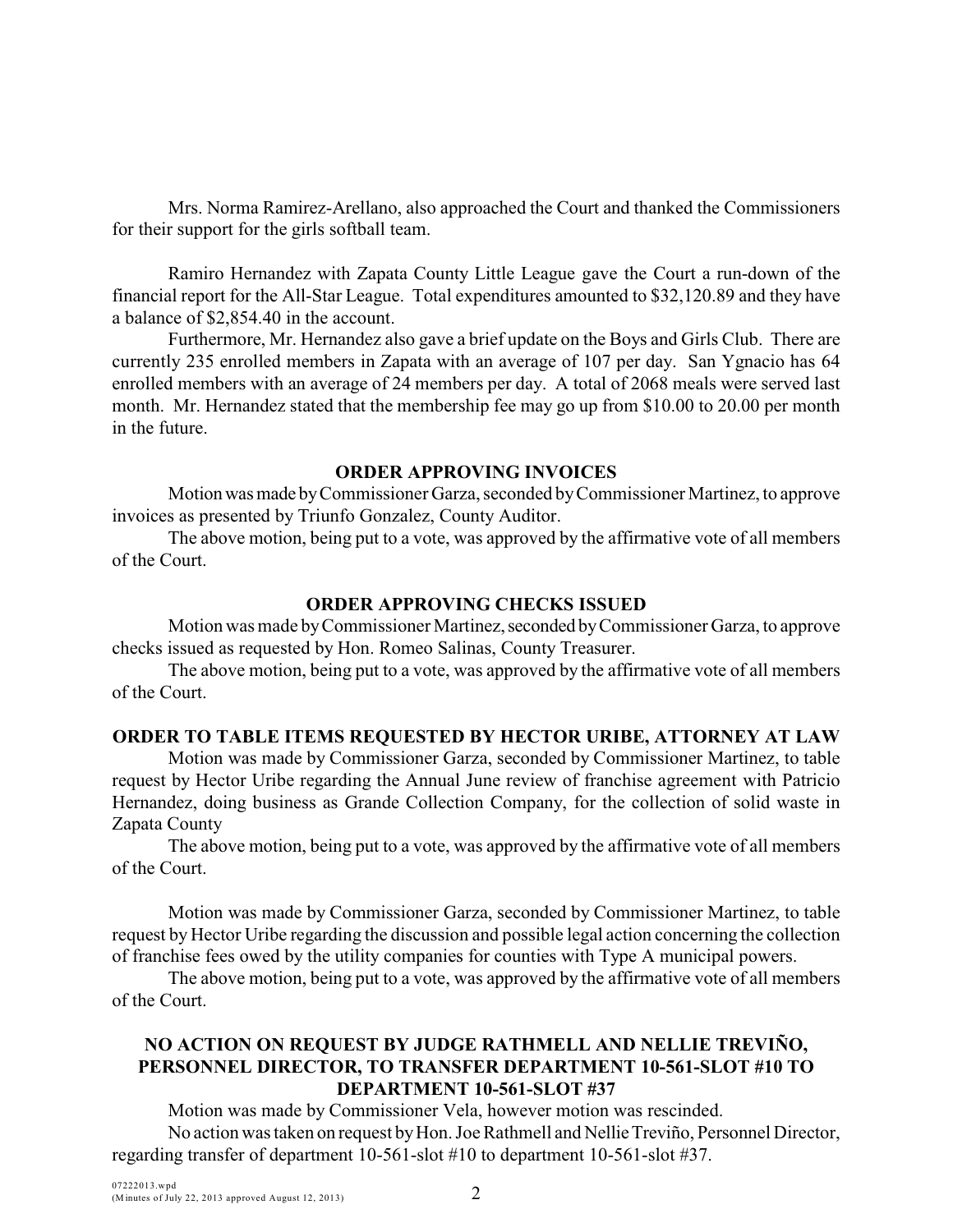Mrs. Norma Ramirez-Arellano, also approached the Court and thanked the Commissioners for their support for the girls softball team.

Ramiro Hernandez with Zapata County Little League gave the Court a run-down of the financial report for the All-Star League. Total expenditures amounted to \$32,120.89 and they have a balance of \$2,854.40 in the account.

Furthermore, Mr. Hernandez also gave a brief update on the Boys and Girls Club. There are currently 235 enrolled members in Zapata with an average of 107 per day. San Ygnacio has 64 enrolled members with an average of 24 members per day. A total of 2068 meals were served last month. Mr. Hernandez stated that the membership fee may go up from \$10.00 to 20.00 per month in the future.

### **ORDER APPROVING INVOICES**

Motion was made by Commissioner Garza, seconded by Commissioner Martinez, to approve invoices as presented by Triunfo Gonzalez, County Auditor.

The above motion, being put to a vote, was approved by the affirmative vote of all members of the Court.

### **ORDER APPROVING CHECKS ISSUED**

Motion was made by Commissioner Martinez, seconded by Commissioner Garza, to approve checks issued as requested by Hon. Romeo Salinas, County Treasurer.

The above motion, being put to a vote, was approved by the affirmative vote of all members of the Court.

### **ORDER TO TABLE ITEMS REQUESTED BY HECTOR URIBE, ATTORNEY AT LAW**

Motion was made by Commissioner Garza, seconded by Commissioner Martinez, to table request by Hector Uribe regarding the Annual June review of franchise agreement with Patricio Hernandez, doing business as Grande Collection Company, for the collection of solid waste in Zapata County

The above motion, being put to a vote, was approved by the affirmative vote of all members of the Court.

Motion was made by Commissioner Garza, seconded by Commissioner Martinez, to table request by Hector Uribe regarding the discussion and possible legal action concerning the collection of franchise fees owed by the utility companies for counties with Type A municipal powers.

The above motion, being put to a vote, was approved by the affirmative vote of all members of the Court.

# **NO ACTION ON REQUEST BY JUDGE RATHMELL AND NELLIE TREVIÑO, PERSONNEL DIRECTOR, TO TRANSFER DEPARTMENT 10-561-SLOT #10 TO DEPARTMENT 10-561-SLOT #37**

Motion was made by Commissioner Vela, however motion was rescinded. No action was taken on request by Hon. Joe Rathmell and Nellie Treviño, Personnel Director, regarding transfer of department 10-561-slot #10 to department 10-561-slot #37.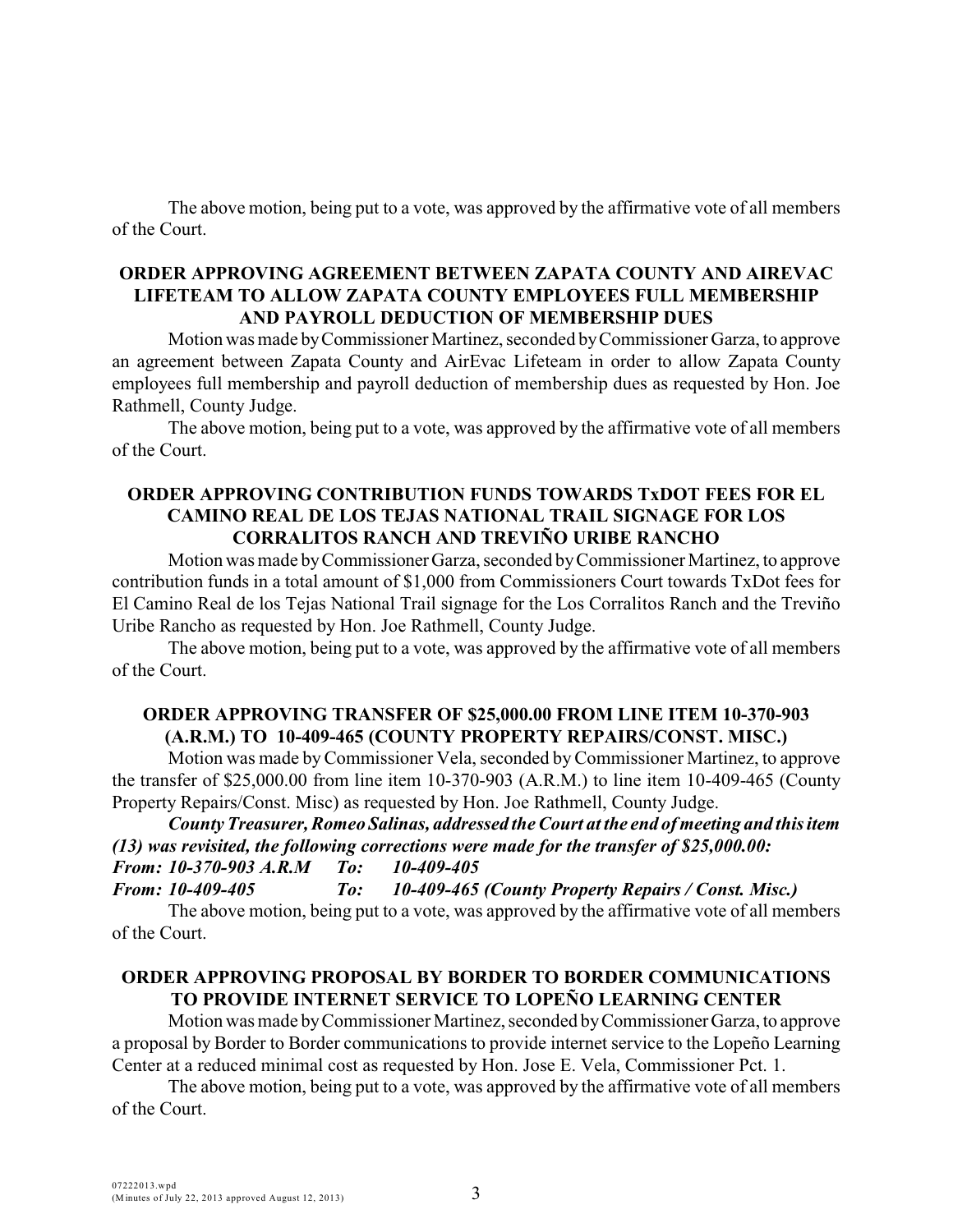The above motion, being put to a vote, was approved by the affirmative vote of all members of the Court.

### **ORDER APPROVING AGREEMENT BETWEEN ZAPATA COUNTY AND AIREVAC LIFETEAM TO ALLOW ZAPATA COUNTY EMPLOYEES FULL MEMBERSHIP AND PAYROLL DEDUCTION OF MEMBERSHIP DUES**

Motion was made by Commissioner Martinez, seconded by Commissioner Garza, to approve an agreement between Zapata County and AirEvac Lifeteam in order to allow Zapata County employees full membership and payroll deduction of membership dues as requested by Hon. Joe Rathmell, County Judge.

The above motion, being put to a vote, was approved by the affirmative vote of all members of the Court.

### **ORDER APPROVING CONTRIBUTION FUNDS TOWARDS TxDOT FEES FOR EL CAMINO REAL DE LOS TEJAS NATIONAL TRAIL SIGNAGE FOR LOS CORRALITOS RANCH AND TREVIÑO URIBE RANCHO**

Motion was made by Commissioner Garza, seconded by Commissioner Martinez, to approve contribution funds in a total amount of \$1,000 from Commissioners Court towards TxDot fees for El Camino Real de los Tejas National Trail signage for the Los Corralitos Ranch and the Treviño Uribe Rancho as requested by Hon. Joe Rathmell, County Judge.

The above motion, being put to a vote, was approved by the affirmative vote of all members of the Court.

### **ORDER APPROVING TRANSFER OF \$25,000.00 FROM LINE ITEM 10-370-903 (A.R.M.) TO 10-409-465 (COUNTY PROPERTY REPAIRS/CONST. MISC.)**

Motion was made byCommissioner Vela, seconded byCommissioner Martinez, to approve the transfer of \$25,000.00 from line item 10-370-903 (A.R.M.) to line item 10-409-465 (County Property Repairs/Const. Misc) as requested by Hon. Joe Rathmell, County Judge.

*County Treasurer, Romeo Salinas, addressed the Court at the end of meeting and this item (13) was revisited, the following corrections were made for the transfer of \$25,000.00: From: 10-370-903 A.R.M To: 10-409-405*

*From: 10-409-405 To: 10-409-465 (County Property Repairs / Const. Misc.)* The above motion, being put to a vote, was approved by the affirmative vote of all members of the Court.

### **ORDER APPROVING PROPOSAL BY BORDER TO BORDER COMMUNICATIONS TO PROVIDE INTERNET SERVICE TO LOPEÑO LEARNING CENTER**

Motion was made by Commissioner Martinez, seconded by Commissioner Garza, to approve a proposal by Border to Border communications to provide internet service to the Lopeño Learning Center at a reduced minimal cost as requested by Hon. Jose E. Vela, Commissioner Pct. 1.

The above motion, being put to a vote, was approved by the affirmative vote of all members of the Court.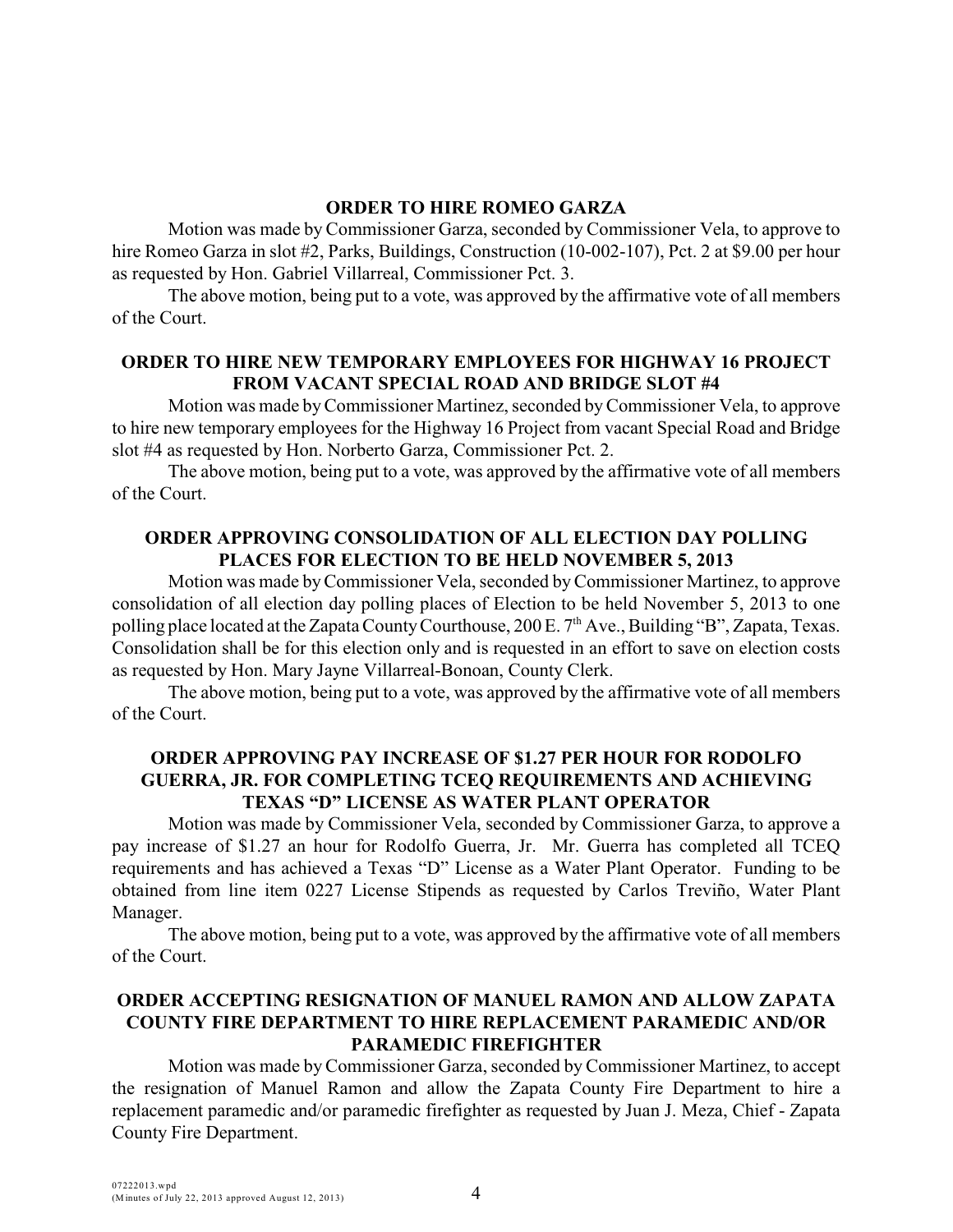### **ORDER TO HIRE ROMEO GARZA**

Motion was made byCommissioner Garza, seconded by Commissioner Vela, to approve to hire Romeo Garza in slot #2, Parks, Buildings, Construction (10-002-107), Pct. 2 at \$9.00 per hour as requested by Hon. Gabriel Villarreal, Commissioner Pct. 3.

The above motion, being put to a vote, was approved by the affirmative vote of all members of the Court.

### **ORDER TO HIRE NEW TEMPORARY EMPLOYEES FOR HIGHWAY 16 PROJECT FROM VACANT SPECIAL ROAD AND BRIDGE SLOT #4**

Motion was made byCommissioner Martinez, seconded by Commissioner Vela, to approve to hire new temporary employees for the Highway 16 Project from vacant Special Road and Bridge slot #4 as requested by Hon. Norberto Garza, Commissioner Pct. 2.

The above motion, being put to a vote, was approved by the affirmative vote of all members of the Court.

## **ORDER APPROVING CONSOLIDATION OF ALL ELECTION DAY POLLING PLACES FOR ELECTION TO BE HELD NOVEMBER 5, 2013**

Motion was made by Commissioner Vela, seconded byCommissioner Martinez, to approve consolidation of all election day polling places of Election to be held November 5, 2013 to one polling place located at the Zapata County Courthouse, 200 E. 7<sup>th</sup> Ave., Building "B", Zapata, Texas. Consolidation shall be for this election only and is requested in an effort to save on election costs as requested by Hon. Mary Jayne Villarreal-Bonoan, County Clerk.

The above motion, being put to a vote, was approved by the affirmative vote of all members of the Court.

# **ORDER APPROVING PAY INCREASE OF \$1.27 PER HOUR FOR RODOLFO GUERRA, JR. FOR COMPLETING TCEQ REQUIREMENTS AND ACHIEVING TEXAS "D" LICENSE AS WATER PLANT OPERATOR**

Motion was made by Commissioner Vela, seconded by Commissioner Garza, to approve a pay increase of \$1.27 an hour for Rodolfo Guerra, Jr. Mr. Guerra has completed all TCEQ requirements and has achieved a Texas "D" License as a Water Plant Operator. Funding to be obtained from line item 0227 License Stipends as requested by Carlos Treviño, Water Plant Manager.

The above motion, being put to a vote, was approved by the affirmative vote of all members of the Court.

# **ORDER ACCEPTING RESIGNATION OF MANUEL RAMON AND ALLOW ZAPATA COUNTY FIRE DEPARTMENT TO HIRE REPLACEMENT PARAMEDIC AND/OR PARAMEDIC FIREFIGHTER**

Motion was made by Commissioner Garza, seconded by Commissioner Martinez, to accept the resignation of Manuel Ramon and allow the Zapata County Fire Department to hire a replacement paramedic and/or paramedic firefighter as requested by Juan J. Meza, Chief - Zapata County Fire Department.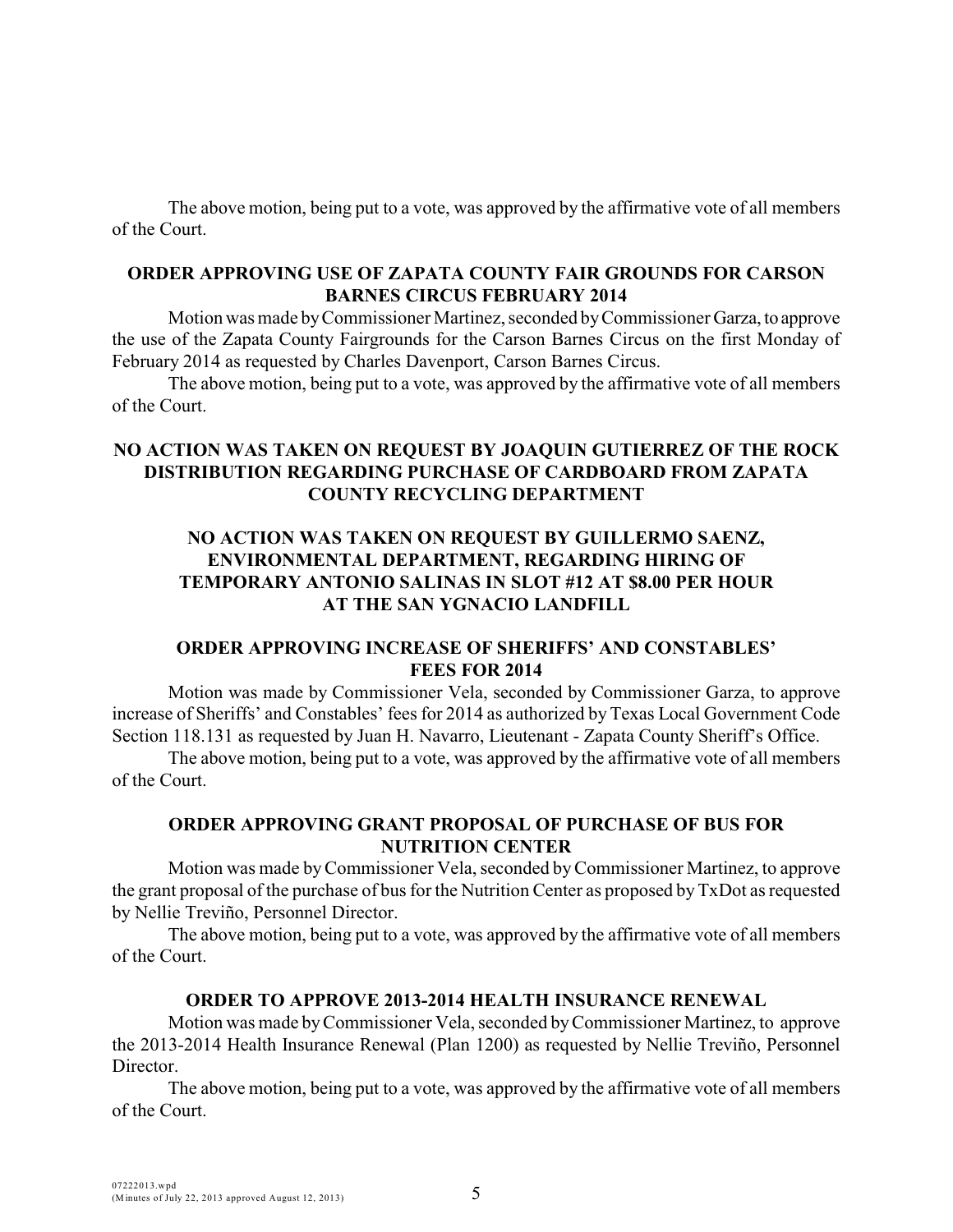The above motion, being put to a vote, was approved by the affirmative vote of all members of the Court.

# **ORDER APPROVING USE OF ZAPATA COUNTY FAIR GROUNDS FOR CARSON BARNES CIRCUS FEBRUARY 2014**

Motion was made by Commissioner Martinez, seconded by Commissioner Garza, to approve the use of the Zapata County Fairgrounds for the Carson Barnes Circus on the first Monday of February 2014 as requested by Charles Davenport, Carson Barnes Circus.

The above motion, being put to a vote, was approved by the affirmative vote of all members of the Court.

# **NO ACTION WAS TAKEN ON REQUEST BY JOAQUIN GUTIERREZ OF THE ROCK DISTRIBUTION REGARDING PURCHASE OF CARDBOARD FROM ZAPATA COUNTY RECYCLING DEPARTMENT**

# **NO ACTION WAS TAKEN ON REQUEST BY GUILLERMO SAENZ, ENVIRONMENTAL DEPARTMENT, REGARDING HIRING OF TEMPORARY ANTONIO SALINAS IN SLOT #12 AT \$8.00 PER HOUR AT THE SAN YGNACIO LANDFILL**

### **ORDER APPROVING INCREASE OF SHERIFFS' AND CONSTABLES' FEES FOR 2014**

Motion was made by Commissioner Vela, seconded by Commissioner Garza, to approve increase of Sheriffs' and Constables' fees for 2014 as authorized by Texas Local Government Code Section 118.131 as requested by Juan H. Navarro, Lieutenant - Zapata County Sheriff's Office.

The above motion, being put to a vote, was approved by the affirmative vote of all members of the Court.

# **ORDER APPROVING GRANT PROPOSAL OF PURCHASE OF BUS FOR NUTRITION CENTER**

Motion was made by Commissioner Vela, seconded byCommissioner Martinez, to approve the grant proposal of the purchase of bus for the Nutrition Center as proposed by TxDot as requested by Nellie Treviño, Personnel Director.

The above motion, being put to a vote, was approved by the affirmative vote of all members of the Court.

# **ORDER TO APPROVE 2013-2014 HEALTH INSURANCE RENEWAL**

Motion was made by Commissioner Vela, seconded by Commissioner Martinez, to approve the 2013-2014 Health Insurance Renewal (Plan 1200) as requested by Nellie Treviño, Personnel Director.

The above motion, being put to a vote, was approved by the affirmative vote of all members of the Court.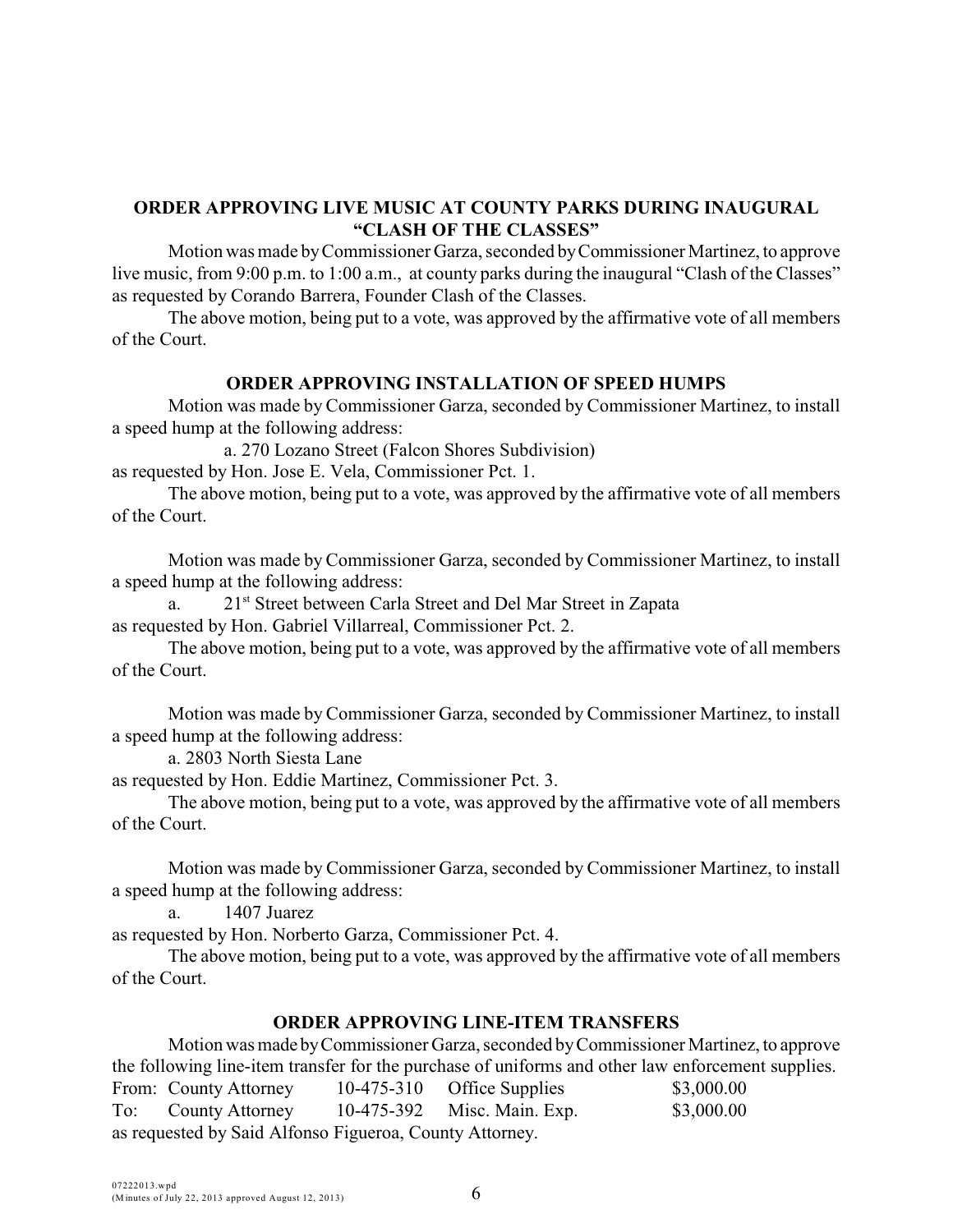# **ORDER APPROVING LIVE MUSIC AT COUNTY PARKS DURING INAUGURAL "CLASH OF THE CLASSES"**

Motion was made by Commissioner Garza, seconded by Commissioner Martinez, to approve live music, from 9:00 p.m. to 1:00 a.m., at county parks during the inaugural "Clash of the Classes" as requested by Corando Barrera, Founder Clash of the Classes.

The above motion, being put to a vote, was approved by the affirmative vote of all members of the Court.

### **ORDER APPROVING INSTALLATION OF SPEED HUMPS**

Motion was made by Commissioner Garza, seconded by Commissioner Martinez, to install a speed hump at the following address:

a. 270 Lozano Street (Falcon Shores Subdivision) as requested by Hon. Jose E. Vela, Commissioner Pct. 1.

The above motion, being put to a vote, was approved by the affirmative vote of all members of the Court.

Motion was made byCommissioner Garza, seconded by Commissioner Martinez, to install a speed hump at the following address:

a. 21<sup>st</sup> Street between Carla Street and Del Mar Street in Zapata as requested by Hon. Gabriel Villarreal, Commissioner Pct. 2.

The above motion, being put to a vote, was approved by the affirmative vote of all members of the Court.

Motion was made byCommissioner Garza, seconded by Commissioner Martinez, to install a speed hump at the following address:

a. 2803 North Siesta Lane

as requested by Hon. Eddie Martinez, Commissioner Pct. 3.

The above motion, being put to a vote, was approved by the affirmative vote of all members of the Court.

Motion was made by Commissioner Garza, seconded by Commissioner Martinez, to install a speed hump at the following address:

a. 1407 Juarez

as requested by Hon. Norberto Garza, Commissioner Pct. 4.

The above motion, being put to a vote, was approved by the affirmative vote of all members of the Court.

### **ORDER APPROVING LINE-ITEM TRANSFERS**

Motion was made by Commissioner Garza, seconded by Commissioner Martinez, to approve the following line-item transfer for the purchase of uniforms and other law enforcement supplies. From: County Attorney 10-475-310 Office Supplies \$3,000.00 To: County Attorney 10-475-392 Misc. Main. Exp. \$3,000.00 as requested by Said Alfonso Figueroa, County Attorney.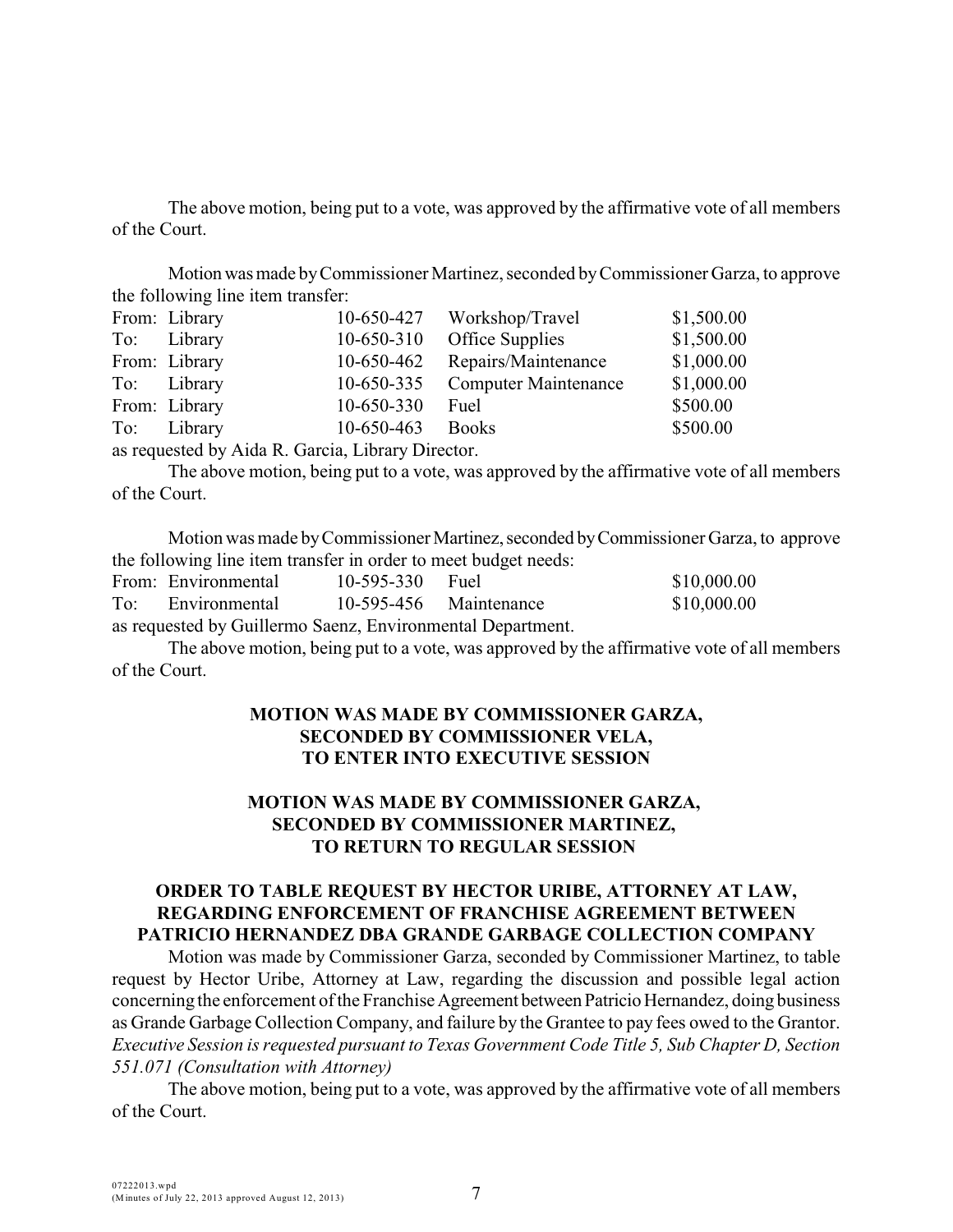The above motion, being put to a vote, was approved by the affirmative vote of all members of the Court.

Motion was made by Commissioner Martinez, seconded by Commissioner Garza, to approve the following line item transfer:

| From: Library |            | 10-650-427 Workshop/Travel  | \$1,500.00 |
|---------------|------------|-----------------------------|------------|
| To: Library   | 10-650-310 | Office Supplies             | \$1,500.00 |
| From: Library | 10-650-462 | Repairs/Maintenance         | \$1,000.00 |
| To: Library   | 10-650-335 | <b>Computer Maintenance</b> | \$1,000.00 |
| From: Library | 10-650-330 | Fuel                        | \$500.00   |
| To: Library   | 10-650-463 | <b>Books</b>                | \$500.00   |
|               |            |                             |            |

as requested by Aida R. Garcia, Library Director.

The above motion, being put to a vote, was approved by the affirmative vote of all members of the Court.

Motion was made by Commissioner Martinez, seconded by Commissioner Garza, to approve the following line item transfer in order to meet budget needs:

|                                                            | From: Environmental | $10-595-330$ Fuel        |  | \$10,000.00 |  |  |  |
|------------------------------------------------------------|---------------------|--------------------------|--|-------------|--|--|--|
| To:                                                        | Environmental       | $10-595-456$ Maintenance |  | \$10,000.00 |  |  |  |
| as requested by Guillermo Saenz, Environmental Department. |                     |                          |  |             |  |  |  |

The above motion, being put to a vote, was approved by the affirmative vote of all members of the Court.

### **MOTION WAS MADE BY COMMISSIONER GARZA, SECONDED BY COMMISSIONER VELA, TO ENTER INTO EXECUTIVE SESSION**

# **MOTION WAS MADE BY COMMISSIONER GARZA, SECONDED BY COMMISSIONER MARTINEZ, TO RETURN TO REGULAR SESSION**

### **ORDER TO TABLE REQUEST BY HECTOR URIBE, ATTORNEY AT LAW, REGARDING ENFORCEMENT OF FRANCHISE AGREEMENT BETWEEN PATRICIO HERNANDEZ DBA GRANDE GARBAGE COLLECTION COMPANY**

Motion was made by Commissioner Garza, seconded by Commissioner Martinez, to table request by Hector Uribe, Attorney at Law, regarding the discussion and possible legal action concerning the enforcement of the Franchise Agreement between Patricio Hernandez, doing business as Grande Garbage Collection Company, and failure by the Grantee to pay fees owed to the Grantor. *Executive Session is requested pursuant to Texas Government Code Title 5, Sub Chapter D, Section 551.071 (Consultation with Attorney)* 

The above motion, being put to a vote, was approved by the affirmative vote of all members of the Court.